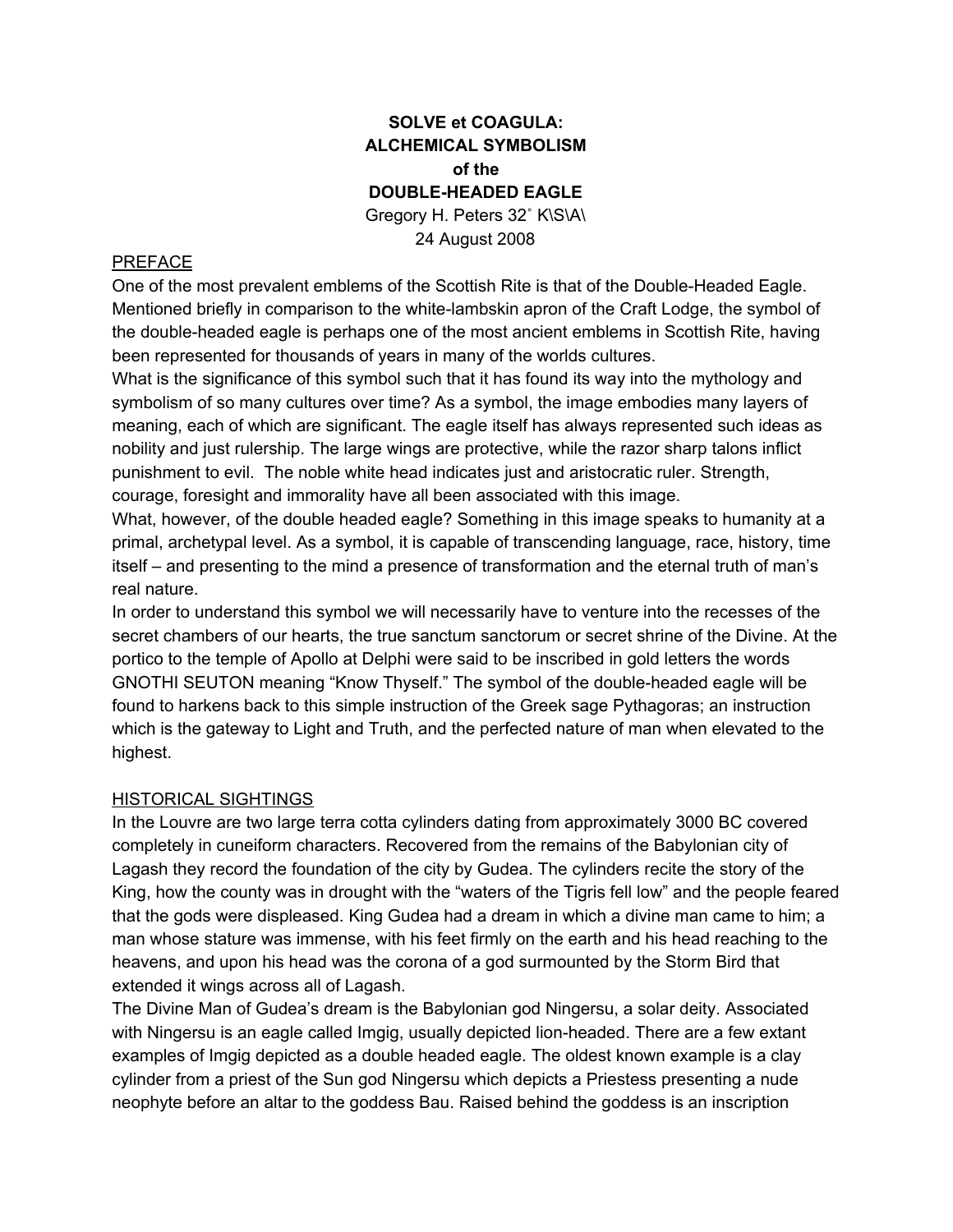# **SOLVE et COAGULA: ALCHEMICAL SYMBOLISM of the DOUBLE-HEADED EAGLE** Gregory H. Peters 32˚ K\S\A\ 24 August 2008

#### PREFACE

One of the most prevalent emblems of the Scottish Rite is that of the Double-Headed Eagle. Mentioned briefly in comparison to the white-lambskin apron of the Craft Lodge, the symbol of the double-headed eagle is perhaps one of the most ancient emblems in Scottish Rite, having been represented for thousands of years in many of the worlds cultures.

What is the significance of this symbol such that it has found its way into the mythology and symbolism of so many cultures over time? As a symbol, the image embodies many layers of meaning, each of which are significant. The eagle itself has always represented such ideas as nobility and just rulership. The large wings are protective, while the razor sharp talons inflict punishment to evil. The noble white head indicates just and aristocratic ruler. Strength, courage, foresight and immorality have all been associated with this image.

What, however, of the double headed eagle? Something in this image speaks to humanity at a primal, archetypal level. As a symbol, it is capable of transcending language, race, history, time itself – and presenting to the mind a presence of transformation and the eternal truth of man's real nature.

In order to understand this symbol we will necessarily have to venture into the recesses of the secret chambers of our hearts, the true sanctum sanctorum or secret shrine of the Divine. At the portico to the temple of Apollo at Delphi were said to be inscribed in gold letters the words GNOTHI SEUTON meaning "Know Thyself." The symbol of the double-headed eagle will be found to harkens back to this simple instruction of the Greek sage Pythagoras; an instruction which is the gateway to Light and Truth, and the perfected nature of man when elevated to the highest.

#### HISTORICAL SIGHTINGS

In the Louvre are two large terra cotta cylinders dating from approximately 3000 BC covered completely in cuneiform characters. Recovered from the remains of the Babylonian city of Lagash they record the foundation of the city by Gudea. The cylinders recite the story of the King, how the county was in drought with the "waters of the Tigris fell low" and the people feared that the gods were displeased. King Gudea had a dream in which a divine man came to him; a man whose stature was immense, with his feet firmly on the earth and his head reaching to the heavens, and upon his head was the corona of a god surmounted by the Storm Bird that extended it wings across all of Lagash.

The Divine Man of Gudea's dream is the Babylonian god Ningersu, a solar deity. Associated with Ningersu is an eagle called Imgig, usually depicted lion-headed. There are a few extant examples of Imgig depicted as a double headed eagle. The oldest known example is a clay cylinder from a priest of the Sun god Ningersu which depicts a Priestess presenting a nude neophyte before an altar to the goddess Bau. Raised behind the goddess is an inscription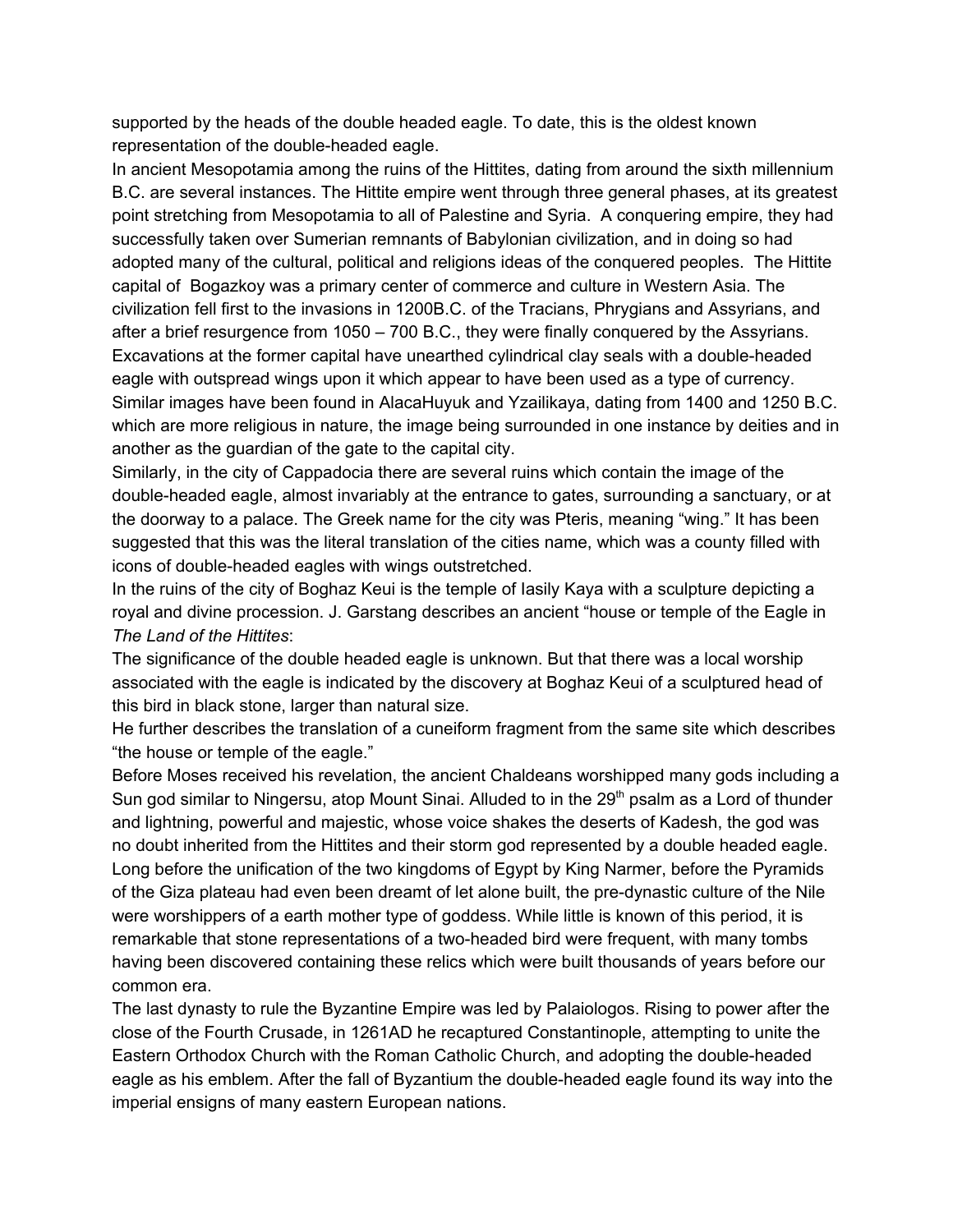supported by the heads of the double headed eagle. To date, this is the oldest known representation of the double-headed eagle.

In ancient Mesopotamia among the ruins of the Hittites, dating from around the sixth millennium B.C. are several instances. The Hittite empire went through three general phases, at its greatest point stretching from Mesopotamia to all of Palestine and Syria. A conquering empire, they had successfully taken over Sumerian remnants of Babylonian civilization, and in doing so had adopted many of the cultural, political and religions ideas of the conquered peoples. The Hittite capital of Bogazkoy was a primary center of commerce and culture in Western Asia. The civilization fell first to the invasions in 1200B.C. of the Tracians, Phrygians and Assyrians, and after a brief resurgence from 1050 – 700 B.C., they were finally conquered by the Assyrians. Excavations at the former capital have unearthed cylindrical clay seals with a double-headed eagle with outspread wings upon it which appear to have been used as a type of currency. Similar images have been found in AlacaHuyuk and Yzailikaya, dating from 1400 and 1250 B.C. which are more religious in nature, the image being surrounded in one instance by deities and in another as the guardian of the gate to the capital city.

Similarly, in the city of Cappadocia there are several ruins which contain the image of the double-headed eagle, almost invariably at the entrance to gates, surrounding a sanctuary, or at the doorway to a palace. The Greek name for the city was Pteris, meaning "wing." It has been suggested that this was the literal translation of the cities name, which was a county filled with icons of double-headed eagles with wings outstretched.

In the ruins of the city of Boghaz Keui is the temple of Iasily Kaya with a sculpture depicting a royal and divine procession. J. Garstang describes an ancient "house or temple of the Eagle in *The Land of the Hittites*:

The significance of the double headed eagle is unknown. But that there was a local worship associated with the eagle is indicated by the discovery at Boghaz Keui of a sculptured head of this bird in black stone, larger than natural size.

He further describes the translation of a cuneiform fragment from the same site which describes "the house or temple of the eagle."

Before Moses received his revelation, the ancient Chaldeans worshipped many gods including a Sun god similar to Ningersu, atop Mount Sinai. Alluded to in the 29<sup>th</sup> psalm as a Lord of thunder and lightning, powerful and majestic, whose voice shakes the deserts of Kadesh, the god was no doubt inherited from the Hittites and their storm god represented by a double headed eagle. Long before the unification of the two kingdoms of Egypt by King Narmer, before the Pyramids of the Giza plateau had even been dreamt of let alone built, the pre-dynastic culture of the Nile were worshippers of a earth mother type of goddess. While little is known of this period, it is remarkable that stone representations of a two-headed bird were frequent, with many tombs having been discovered containing these relics which were built thousands of years before our common era.

The last dynasty to rule the Byzantine Empire was led by Palaiologos. Rising to power after the close of the Fourth Crusade, in 1261AD he recaptured Constantinople, attempting to unite the Eastern Orthodox Church with the Roman Catholic Church, and adopting the double-headed eagle as his emblem. After the fall of Byzantium the double-headed eagle found its way into the imperial ensigns of many eastern European nations.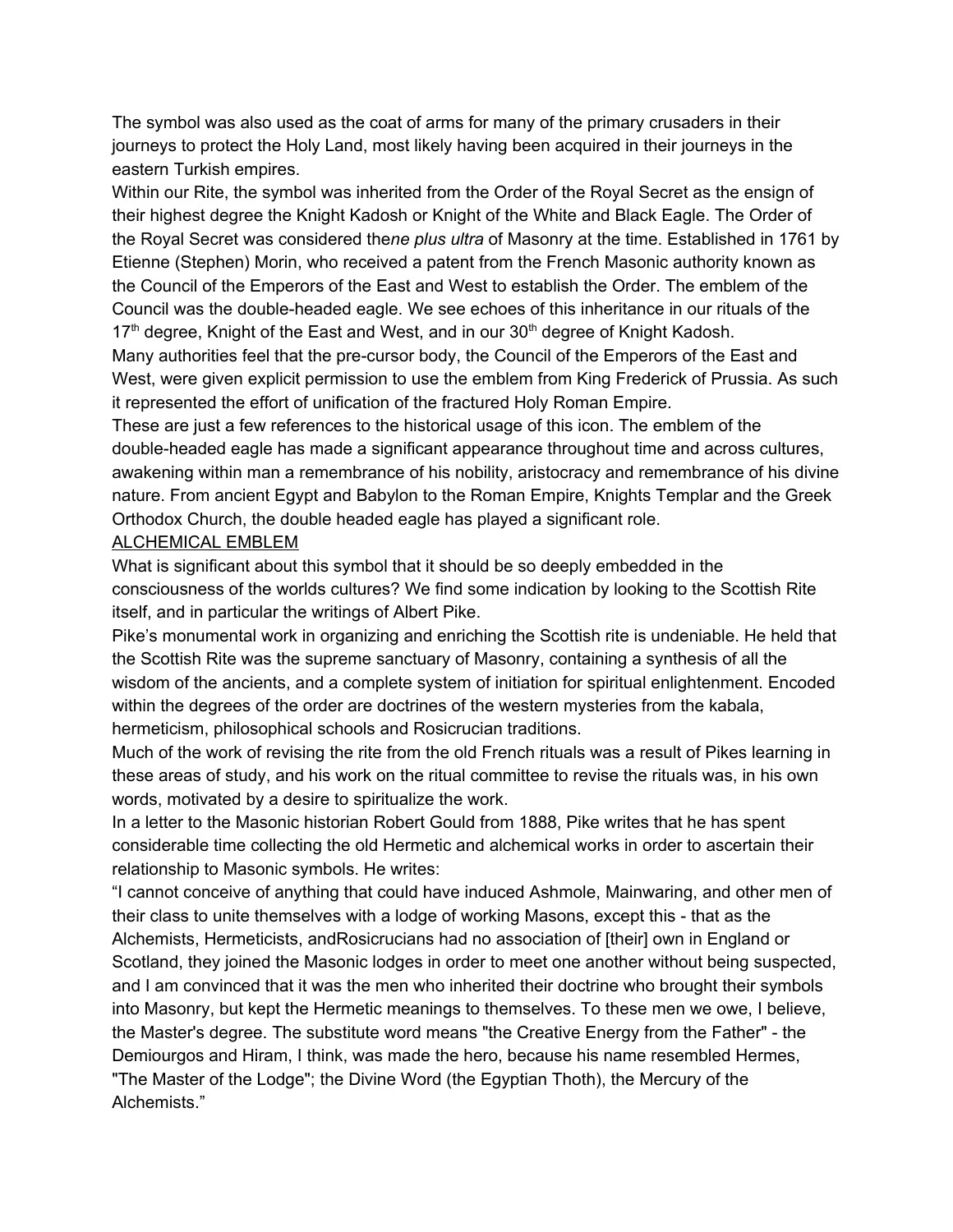The symbol was also used as the coat of arms for many of the primary crusaders in their journeys to protect the Holy Land, most likely having been acquired in their journeys in the eastern Turkish empires.

Within our Rite, the symbol was inherited from the Order of the Royal Secret as the ensign of their highest degree the Knight Kadosh or Knight of the White and Black Eagle. The Order of the Royal Secret was considered the*ne plus ultra* of Masonry at the time. Established in 1761 by Etienne (Stephen) Morin, who received a patent from the French Masonic authority known as the Council of the Emperors of the East and West to establish the Order. The emblem of the Council was the double-headed eagle. We see echoes of this inheritance in our rituals of the 17<sup>th</sup> degree, Knight of the East and West, and in our 30<sup>th</sup> degree of Knight Kadosh.

Many authorities feel that the pre-cursor body, the Council of the Emperors of the East and West, were given explicit permission to use the emblem from King Frederick of Prussia. As such it represented the effort of unification of the fractured Holy Roman Empire.

These are just a few references to the historical usage of this icon. The emblem of the double-headed eagle has made a significant appearance throughout time and across cultures, awakening within man a remembrance of his nobility, aristocracy and remembrance of his divine nature. From ancient Egypt and Babylon to the Roman Empire, Knights Templar and the Greek Orthodox Church, the double headed eagle has played a significant role.

#### ALCHEMICAL EMBLEM

What is significant about this symbol that it should be so deeply embedded in the consciousness of the worlds cultures? We find some indication by looking to the Scottish Rite itself, and in particular the writings of Albert Pike.

Pike's monumental work in organizing and enriching the Scottish rite is undeniable. He held that the Scottish Rite was the supreme sanctuary of Masonry, containing a synthesis of all the wisdom of the ancients, and a complete system of initiation for spiritual enlightenment. Encoded within the degrees of the order are doctrines of the western mysteries from the kabala, hermeticism, philosophical schools and Rosicrucian traditions.

Much of the work of revising the rite from the old French rituals was a result of Pikes learning in these areas of study, and his work on the ritual committee to revise the rituals was, in his own words, motivated by a desire to spiritualize the work.

In a letter to the Masonic historian Robert Gould from 1888, Pike writes that he has spent considerable time collecting the old Hermetic and alchemical works in order to ascertain their relationship to Masonic symbols. He writes:

"I cannot conceive of anything that could have induced Ashmole, Mainwaring, and other men of their class to unite themselves with a lodge of working Masons, except this - that as the Alchemists, Hermeticists, andRosicrucians had no association of [their] own in England or Scotland, they joined the Masonic lodges in order to meet one another without being suspected, and I am convinced that it was the men who inherited their doctrine who brought their symbols into Masonry, but kept the Hermetic meanings to themselves. To these men we owe, I believe, the Master's degree. The substitute word means "the Creative Energy from the Father" - the Demiourgos and Hiram, I think, was made the hero, because his name resembled Hermes, "The Master of the Lodge"; the Divine Word (the Egyptian Thoth), the Mercury of the Alchemists."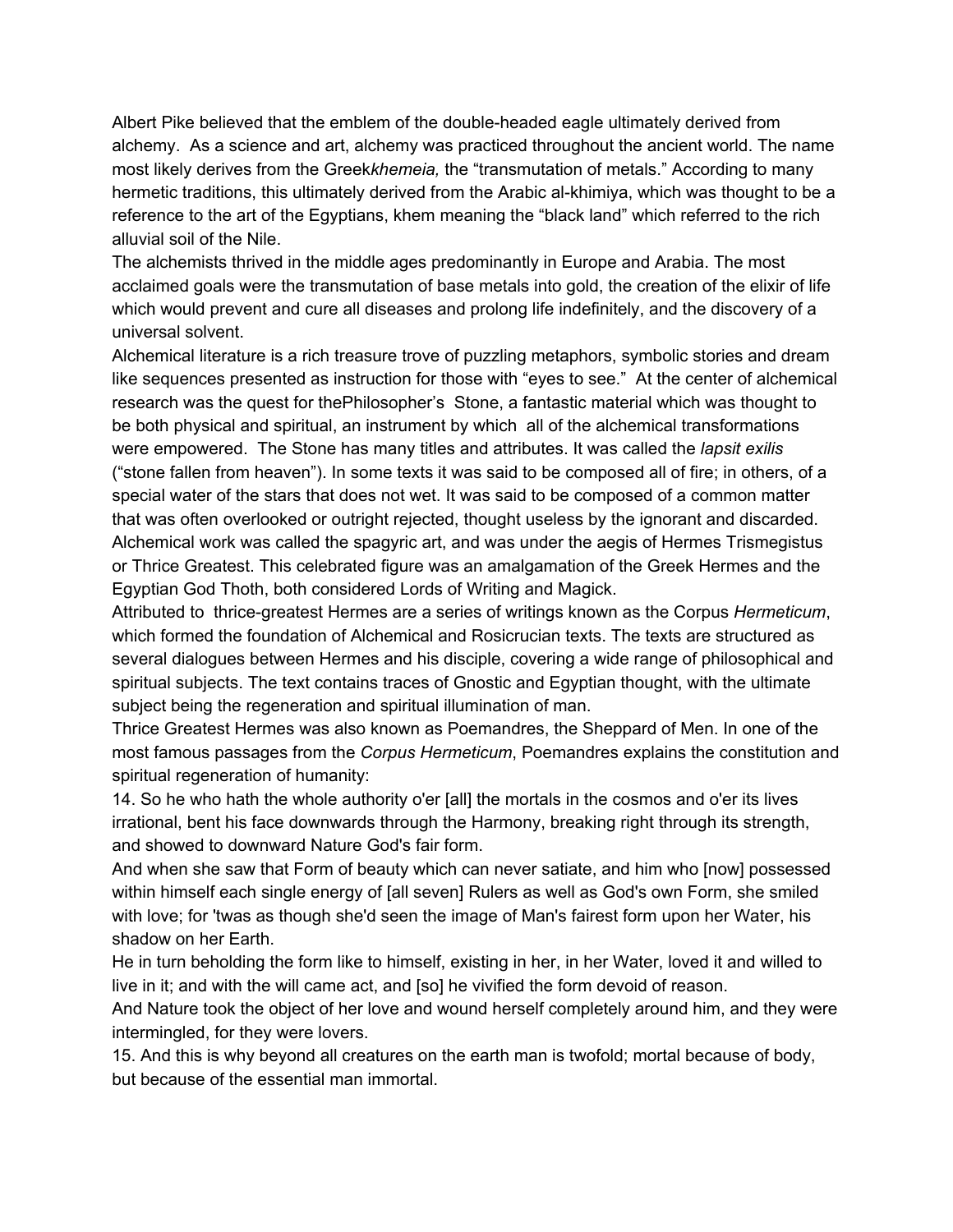Albert Pike believed that the emblem of the double-headed eagle ultimately derived from alchemy. As a science and art, alchemy was practiced throughout the ancient world. The name most likely derives from the Greek*khemeia,* the "transmutation of metals." According to many hermetic traditions, this ultimately derived from the Arabic al-khimiya, which was thought to be a reference to the art of the Egyptians, khem meaning the "black land" which referred to the rich alluvial soil of the Nile.

The alchemists thrived in the middle ages predominantly in Europe and Arabia. The most acclaimed goals were the transmutation of base metals into gold, the creation of the elixir of life which would prevent and cure all diseases and prolong life indefinitely, and the discovery of a universal solvent.

Alchemical literature is a rich treasure trove of puzzling metaphors, symbolic stories and dream like sequences presented as instruction for those with "eyes to see." At the center of alchemical research was the quest for thePhilosopher's Stone, a fantastic material which was thought to be both physical and spiritual, an instrument by which all of the alchemical transformations were empowered. The Stone has many titles and attributes. It was called the *lapsit exilis* ("stone fallen from heaven"). In some texts it was said to be composed all of fire; in others, of a special water of the stars that does not wet. It was said to be composed of a common matter that was often overlooked or outright rejected, thought useless by the ignorant and discarded. Alchemical work was called the spagyric art, and was under the aegis of Hermes Trismegistus or Thrice Greatest. This celebrated figure was an amalgamation of the Greek Hermes and the Egyptian God Thoth, both considered Lords of Writing and Magick.

Attributed to thrice-greatest Hermes are a series of writings known as the Corpus *Hermeticum*, which formed the foundation of Alchemical and Rosicrucian texts. The texts are structured as several dialogues between Hermes and his disciple, covering a wide range of philosophical and spiritual subjects. The text contains traces of Gnostic and Egyptian thought, with the ultimate subject being the regeneration and spiritual illumination of man.

Thrice Greatest Hermes was also known as Poemandres, the Sheppard of Men. In one of the most famous passages from the *Corpus Hermeticum*, Poemandres explains the constitution and spiritual regeneration of humanity:

14. So he who hath the whole authority o'er [all] the mortals in the cosmos and o'er its lives irrational, bent his face downwards through the Harmony, breaking right through its strength, and showed to downward Nature God's fair form.

And when she saw that Form of beauty which can never satiate, and him who [now] possessed within himself each single energy of [all seven] Rulers as well as God's own Form, she smiled with love; for 'twas as though she'd seen the image of Man's fairest form upon her Water, his shadow on her Earth.

He in turn beholding the form like to himself, existing in her, in her Water, loved it and willed to live in it; and with the will came act, and [so] he vivified the form devoid of reason.

And Nature took the object of her love and wound herself completely around him, and they were intermingled, for they were lovers.

15. And this is why beyond all creatures on the earth man is twofold; mortal because of body, but because of the essential man immortal.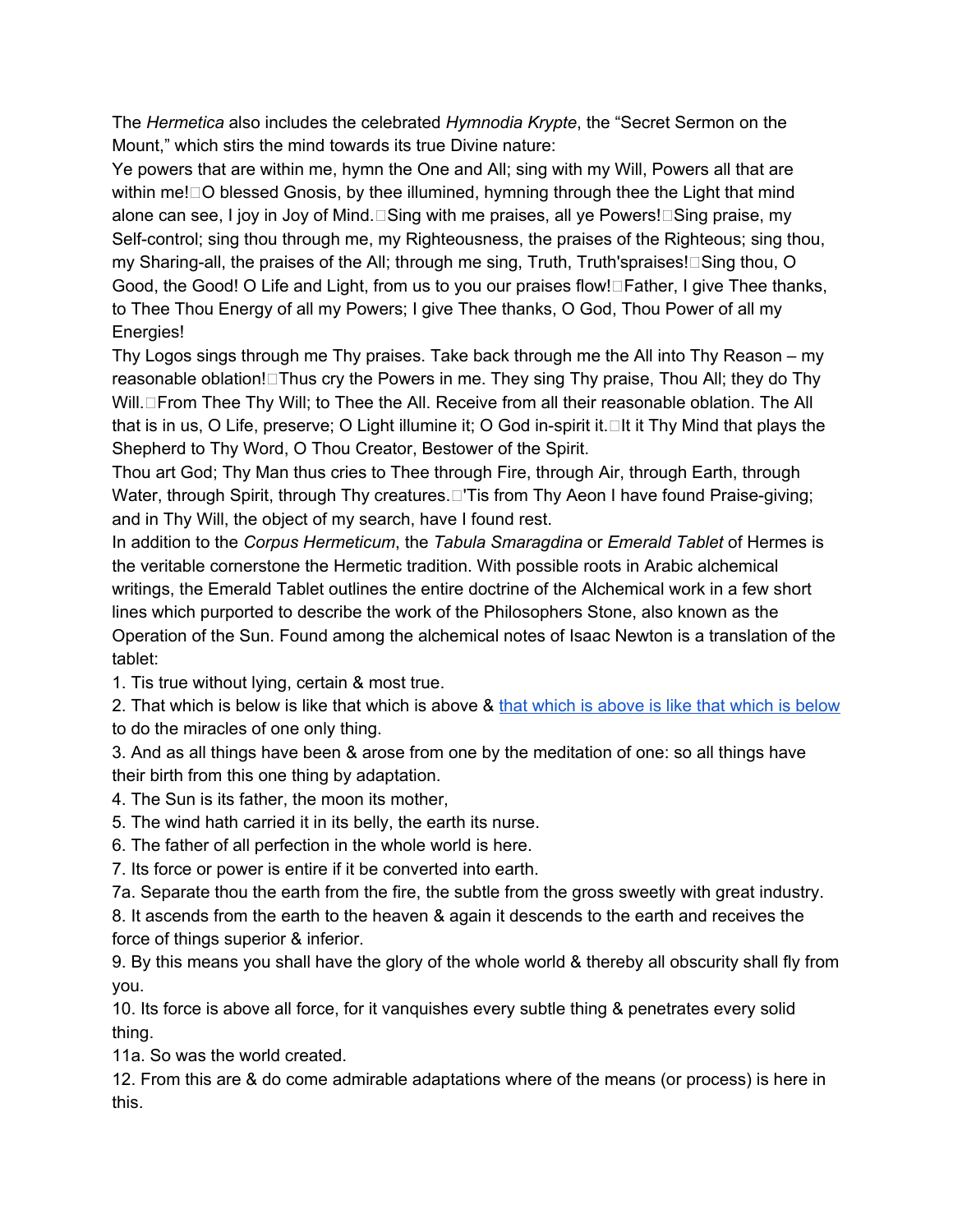The *Hermetica* also includes the celebrated *Hymnodia Krypte*, the "Secret Sermon on the Mount," which stirs the mind towards its true Divine nature:

Ye powers that are within me, hymn the One and All; sing with my Will, Powers all that are within me! $\Box$ O blessed Gnosis, by thee illumined, hymning through thee the Light that mind alone can see, I joy in Joy of Mind. $\square$ Sing with me praises, all ye Powers! $\square$ Sing praise, my Self-control; sing thou through me, my Righteousness, the praises of the Righteous; sing thou, my Sharing-all, the praises of the All; through me sing, Truth, Truth'spraises! $\Box$ Sing thou, O Good, the Good! O Life and Light, from us to you our praises flow! Father, I give Thee thanks, to Thee Thou Energy of all my Powers; I give Thee thanks, O God, Thou Power of all my Energies!

Thy Logos sings through me Thy praises. Take back through me the All into Thy Reason – my reasonable oblation! $\Box$ Thus cry the Powers in me. They sing Thy praise, Thou All; they do Thy Will. From Thee Thy Will; to Thee the All. Receive from all their reasonable oblation. The All that is in us, O Life, preserve; O Light illumine it; O God in-spirit it.  $\Box$  It it Thy Mind that plays the Shepherd to Thy Word, O Thou Creator, Bestower of the Spirit.

Thou art God; Thy Man thus cries to Thee through Fire, through Air, through Earth, through Water, through Spirit, through Thy creatures. This from Thy Aeon I have found Praise-giving; and in Thy Will, the object of my search, have I found rest.

In addition to the *Corpus Hermeticum*, the *Tabula Smaragdina* or *Emerald Tablet* of Hermes is the veritable cornerstone the Hermetic tradition. With possible roots in Arabic alchemical writings, the Emerald Tablet outlines the entire doctrine of the Alchemical work in a few short lines which purported to describe the work of the Philosophers Stone, also known as the Operation of the Sun. Found among the alchemical notes of Isaac Newton is a translation of the tablet:

1. Tis true without lying, certain & most true.

2. That which is below is like that which is above & that which is [above](http://en.wikipedia.org/wiki/As_Above,_So_Below#As_above.2C_so_below) is like that which is below to do the miracles of one only thing.

3. And as all things have been & arose from one by the meditation of one: so all things have their birth from this one thing by adaptation.

4. The Sun is its father, the moon its mother,

5. The wind hath carried it in its belly, the earth its nurse.

6. The father of all perfection in the whole world is here.

7. Its force or power is entire if it be converted into earth.

7a. Separate thou the earth from the fire, the subtle from the gross sweetly with great industry.

8. It ascends from the earth to the heaven & again it descends to the earth and receives the force of things superior & inferior.

9. By this means you shall have the glory of the whole world & thereby all obscurity shall fly from you.

10. Its force is above all force, for it vanquishes every subtle thing & penetrates every solid thing.

11a. So was the world created.

12. From this are & do come admirable adaptations where of the means (or process) is here in this.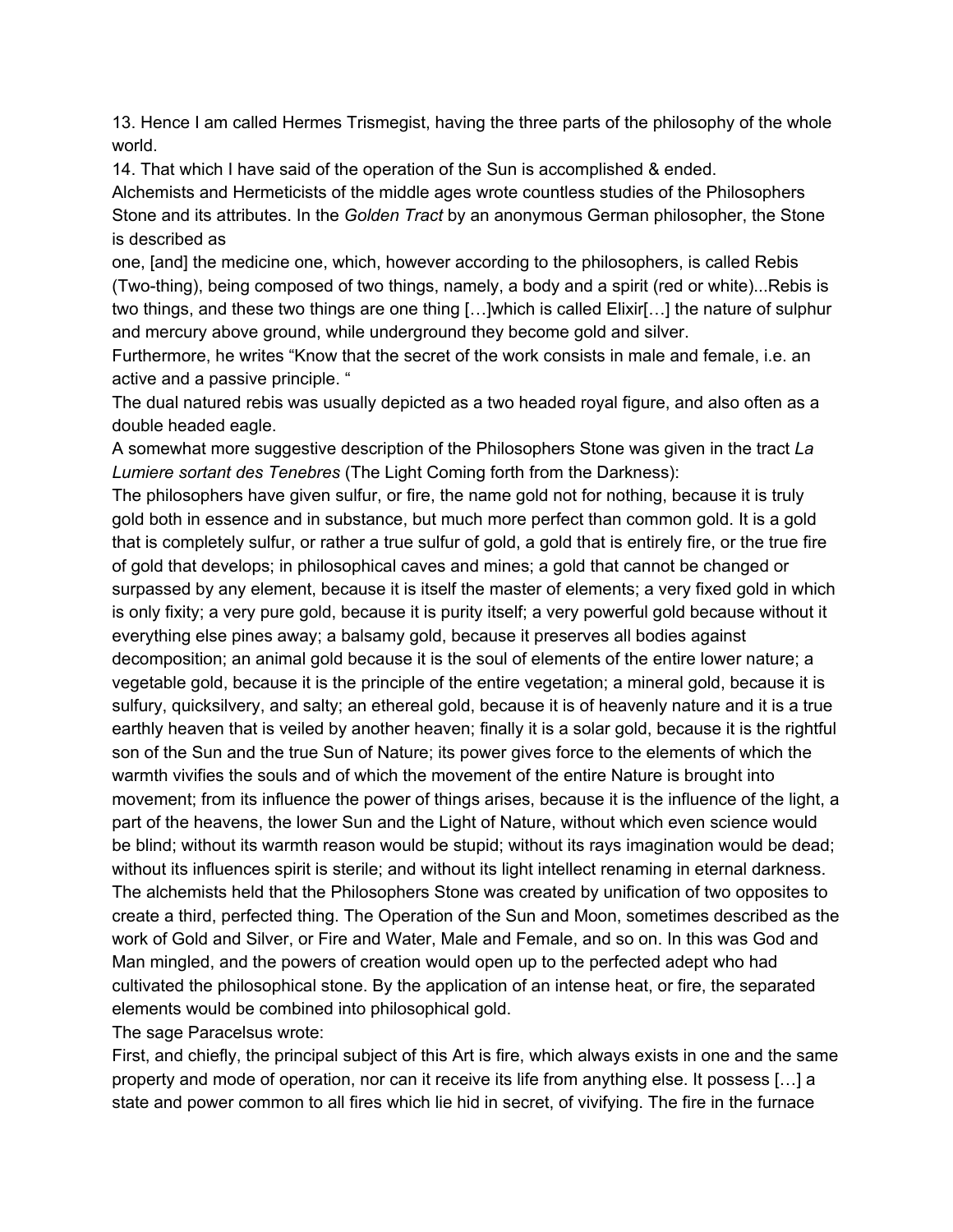13. Hence I am called Hermes Trismegist, having the three parts of the philosophy of the whole world.

14. That which I have said of the operation of the Sun is accomplished & ended.

Alchemists and Hermeticists of the middle ages wrote countless studies of the Philosophers Stone and its attributes. In the *Golden Tract* by an anonymous German philosopher, the Stone is described as

one, [and] the medicine one, which, however according to the philosophers, is called Rebis (Two-thing), being composed of two things, namely, a body and a spirit (red or white)...Rebis is two things, and these two things are one thing […]which is called Elixir[…] the nature of sulphur and mercury above ground, while underground they become gold and silver.

Furthermore, he writes "Know that the secret of the work consists in male and female, i.e. an active and a passive principle. "

The dual natured rebis was usually depicted as a two headed royal figure, and also often as a double headed eagle.

A somewhat more suggestive description of the Philosophers Stone was given in the tract *La Lumiere sortant des Tenebres* (The Light Coming forth from the Darkness):

The philosophers have given sulfur, or fire, the name gold not for nothing, because it is truly gold both in essence and in substance, but much more perfect than common gold. It is a gold that is completely sulfur, or rather a true sulfur of gold, a gold that is entirely fire, or the true fire of gold that develops; in philosophical caves and mines; a gold that cannot be changed or surpassed by any element, because it is itself the master of elements; a very fixed gold in which is only fixity; a very pure gold, because it is purity itself; a very powerful gold because without it everything else pines away; a balsamy gold, because it preserves all bodies against decomposition; an animal gold because it is the soul of elements of the entire lower nature; a vegetable gold, because it is the principle of the entire vegetation; a mineral gold, because it is sulfury, quicksilvery, and salty; an ethereal gold, because it is of heavenly nature and it is a true earthly heaven that is veiled by another heaven; finally it is a solar gold, because it is the rightful son of the Sun and the true Sun of Nature; its power gives force to the elements of which the warmth vivifies the souls and of which the movement of the entire Nature is brought into movement; from its influence the power of things arises, because it is the influence of the light, a part of the heavens, the lower Sun and the Light of Nature, without which even science would be blind; without its warmth reason would be stupid; without its rays imagination would be dead; without its influences spirit is sterile; and without its light intellect renaming in eternal darkness. The alchemists held that the Philosophers Stone was created by unification of two opposites to create a third, perfected thing. The Operation of the Sun and Moon, sometimes described as the work of Gold and Silver, or Fire and Water, Male and Female, and so on. In this was God and Man mingled, and the powers of creation would open up to the perfected adept who had cultivated the philosophical stone. By the application of an intense heat, or fire, the separated elements would be combined into philosophical gold.

The sage Paracelsus wrote:

First, and chiefly, the principal subject of this Art is fire, which always exists in one and the same property and mode of operation, nor can it receive its life from anything else. It possess […] a state and power common to all fires which lie hid in secret, of vivifying. The fire in the furnace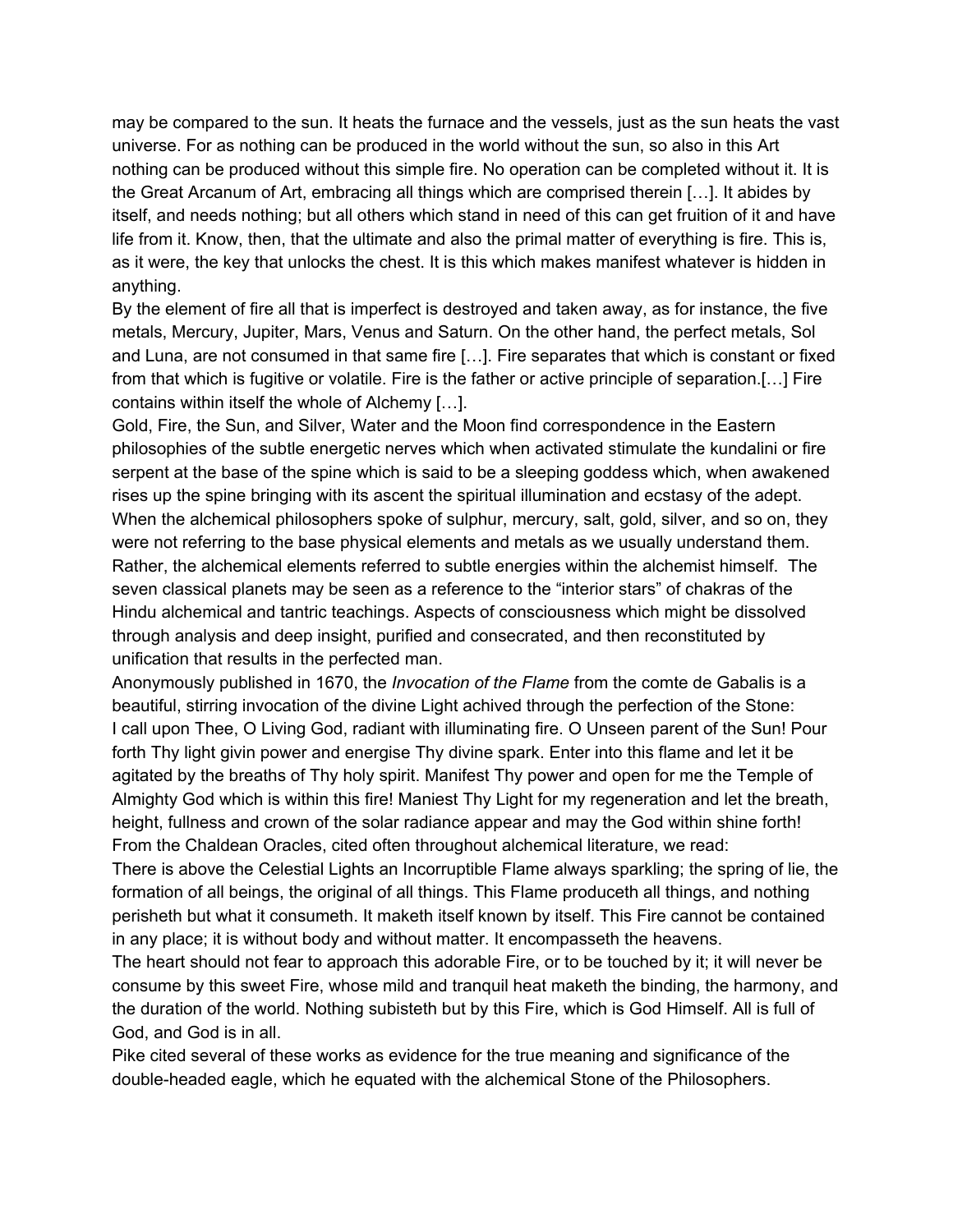may be compared to the sun. It heats the furnace and the vessels, just as the sun heats the vast universe. For as nothing can be produced in the world without the sun, so also in this Art nothing can be produced without this simple fire. No operation can be completed without it. It is the Great Arcanum of Art, embracing all things which are comprised therein […]. It abides by itself, and needs nothing; but all others which stand in need of this can get fruition of it and have life from it. Know, then, that the ultimate and also the primal matter of everything is fire. This is, as it were, the key that unlocks the chest. It is this which makes manifest whatever is hidden in anything.

By the element of fire all that is imperfect is destroyed and taken away, as for instance, the five metals, Mercury, Jupiter, Mars, Venus and Saturn. On the other hand, the perfect metals, Sol and Luna, are not consumed in that same fire […]. Fire separates that which is constant or fixed from that which is fugitive or volatile. Fire is the father or active principle of separation.[…] Fire contains within itself the whole of Alchemy […].

Gold, Fire, the Sun, and Silver, Water and the Moon find correspondence in the Eastern philosophies of the subtle energetic nerves which when activated stimulate the kundalini or fire serpent at the base of the spine which is said to be a sleeping goddess which, when awakened rises up the spine bringing with its ascent the spiritual illumination and ecstasy of the adept. When the alchemical philosophers spoke of sulphur, mercury, salt, gold, silver, and so on, they were not referring to the base physical elements and metals as we usually understand them. Rather, the alchemical elements referred to subtle energies within the alchemist himself. The seven classical planets may be seen as a reference to the "interior stars" of chakras of the Hindu alchemical and tantric teachings. Aspects of consciousness which might be dissolved through analysis and deep insight, purified and consecrated, and then reconstituted by unification that results in the perfected man.

Anonymously published in 1670, the *Invocation of the Flame* from the comte de Gabalis is a beautiful, stirring invocation of the divine Light achived through the perfection of the Stone: I call upon Thee, O Living God, radiant with illuminating fire. O Unseen parent of the Sun! Pour forth Thy light givin power and energise Thy divine spark. Enter into this flame and let it be agitated by the breaths of Thy holy spirit. Manifest Thy power and open for me the Temple of Almighty God which is within this fire! Maniest Thy Light for my regeneration and let the breath, height, fullness and crown of the solar radiance appear and may the God within shine forth! From the Chaldean Oracles, cited often throughout alchemical literature, we read:

There is above the Celestial Lights an Incorruptible Flame always sparkling; the spring of lie, the formation of all beings, the original of all things. This Flame produceth all things, and nothing perisheth but what it consumeth. It maketh itself known by itself. This Fire cannot be contained in any place; it is without body and without matter. It encompasseth the heavens.

The heart should not fear to approach this adorable Fire, or to be touched by it; it will never be consume by this sweet Fire, whose mild and tranquil heat maketh the binding, the harmony, and the duration of the world. Nothing subisteth but by this Fire, which is God Himself. All is full of God, and God is in all.

Pike cited several of these works as evidence for the true meaning and significance of the double-headed eagle, which he equated with the alchemical Stone of the Philosophers.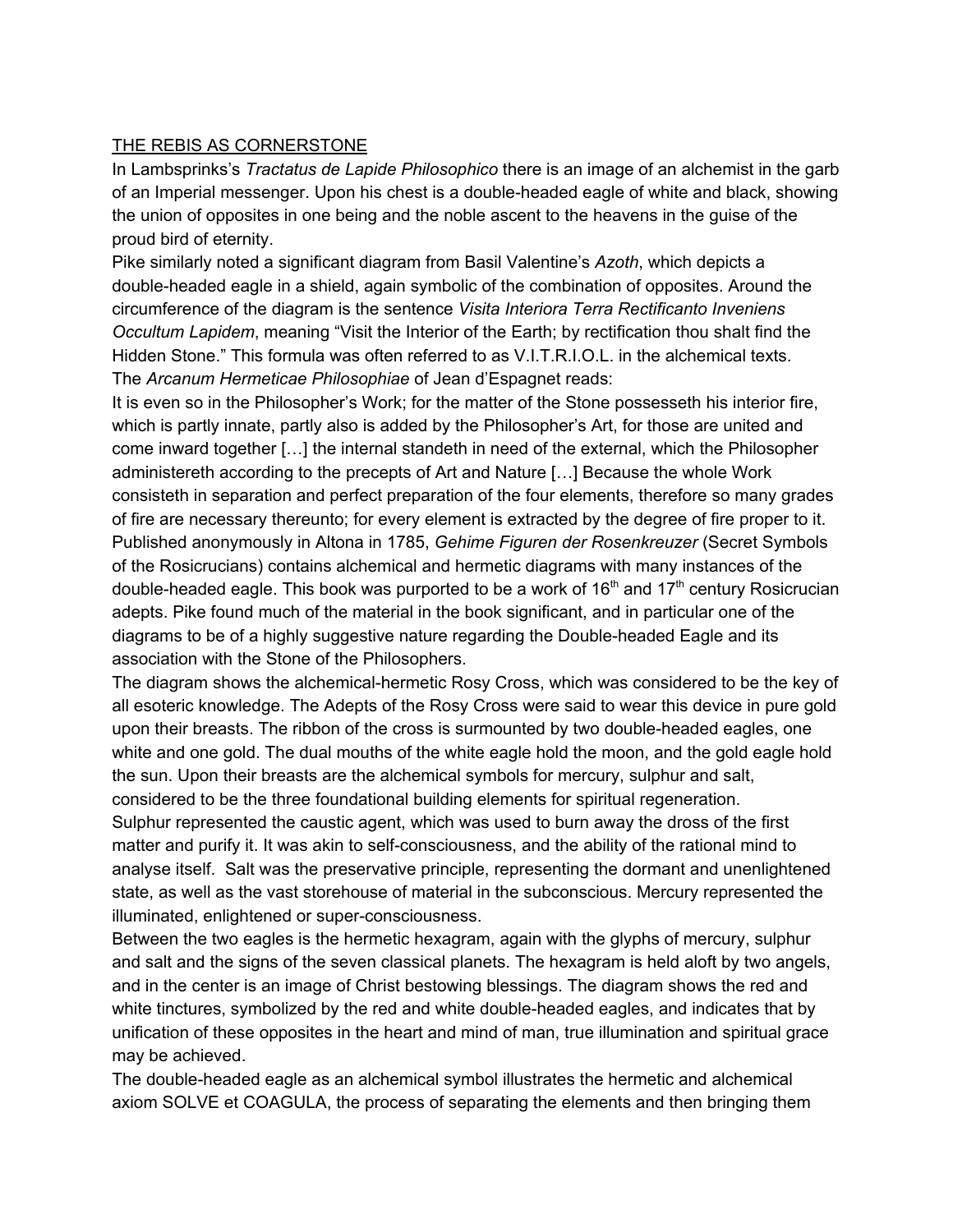### THE REBIS AS CORNERSTONE

In Lambsprinks's *Tractatus de Lapide Philosophico* there is an image of an alchemist in the garb of an Imperial messenger. Upon his chest is a double-headed eagle of white and black, showing the union of opposites in one being and the noble ascent to the heavens in the guise of the proud bird of eternity.

Pike similarly noted a significant diagram from Basil Valentine's *Azoth*, which depicts a double-headed eagle in a shield, again symbolic of the combination of opposites. Around the circumference of the diagram is the sentence *Visita Interiora Terra Rectificanto Inveniens Occultum Lapidem*, meaning "Visit the Interior of the Earth; by rectification thou shalt find the Hidden Stone." This formula was often referred to as V.I.T.R.I.O.L. in the alchemical texts. The *Arcanum Hermeticae Philosophiae* of Jean d'Espagnet reads:

It is even so in the Philosopher's Work; for the matter of the Stone possesseth his interior fire, which is partly innate, partly also is added by the Philosopher's Art, for those are united and come inward together […] the internal standeth in need of the external, which the Philosopher administereth according to the precepts of Art and Nature […] Because the whole Work consisteth in separation and perfect preparation of the four elements, therefore so many grades of fire are necessary thereunto; for every element is extracted by the degree of fire proper to it. Published anonymously in Altona in 1785, *Gehime Figuren der Rosenkreuzer* (Secret Symbols of the Rosicrucians) contains alchemical and hermetic diagrams with many instances of the double-headed eagle. This book was purported to be a work of 16<sup>th</sup> and 17<sup>th</sup> century Rosicrucian adepts. Pike found much of the material in the book significant, and in particular one of the diagrams to be of a highly suggestive nature regarding the Double-headed Eagle and its association with the Stone of the Philosophers.

The diagram shows the alchemical-hermetic Rosy Cross, which was considered to be the key of all esoteric knowledge. The Adepts of the Rosy Cross were said to wear this device in pure gold upon their breasts. The ribbon of the cross is surmounted by two double-headed eagles, one white and one gold. The dual mouths of the white eagle hold the moon, and the gold eagle hold the sun. Upon their breasts are the alchemical symbols for mercury, sulphur and salt, considered to be the three foundational building elements for spiritual regeneration.

Sulphur represented the caustic agent, which was used to burn away the dross of the first matter and purify it. It was akin to self-consciousness, and the ability of the rational mind to analyse itself. Salt was the preservative principle, representing the dormant and unenlightened state, as well as the vast storehouse of material in the subconscious. Mercury represented the illuminated, enlightened or super-consciousness.

Between the two eagles is the hermetic hexagram, again with the glyphs of mercury, sulphur and salt and the signs of the seven classical planets. The hexagram is held aloft by two angels, and in the center is an image of Christ bestowing blessings. The diagram shows the red and white tinctures, symbolized by the red and white double-headed eagles, and indicates that by unification of these opposites in the heart and mind of man, true illumination and spiritual grace may be achieved.

The double-headed eagle as an alchemical symbol illustrates the hermetic and alchemical axiom SOLVE et COAGULA, the process of separating the elements and then bringing them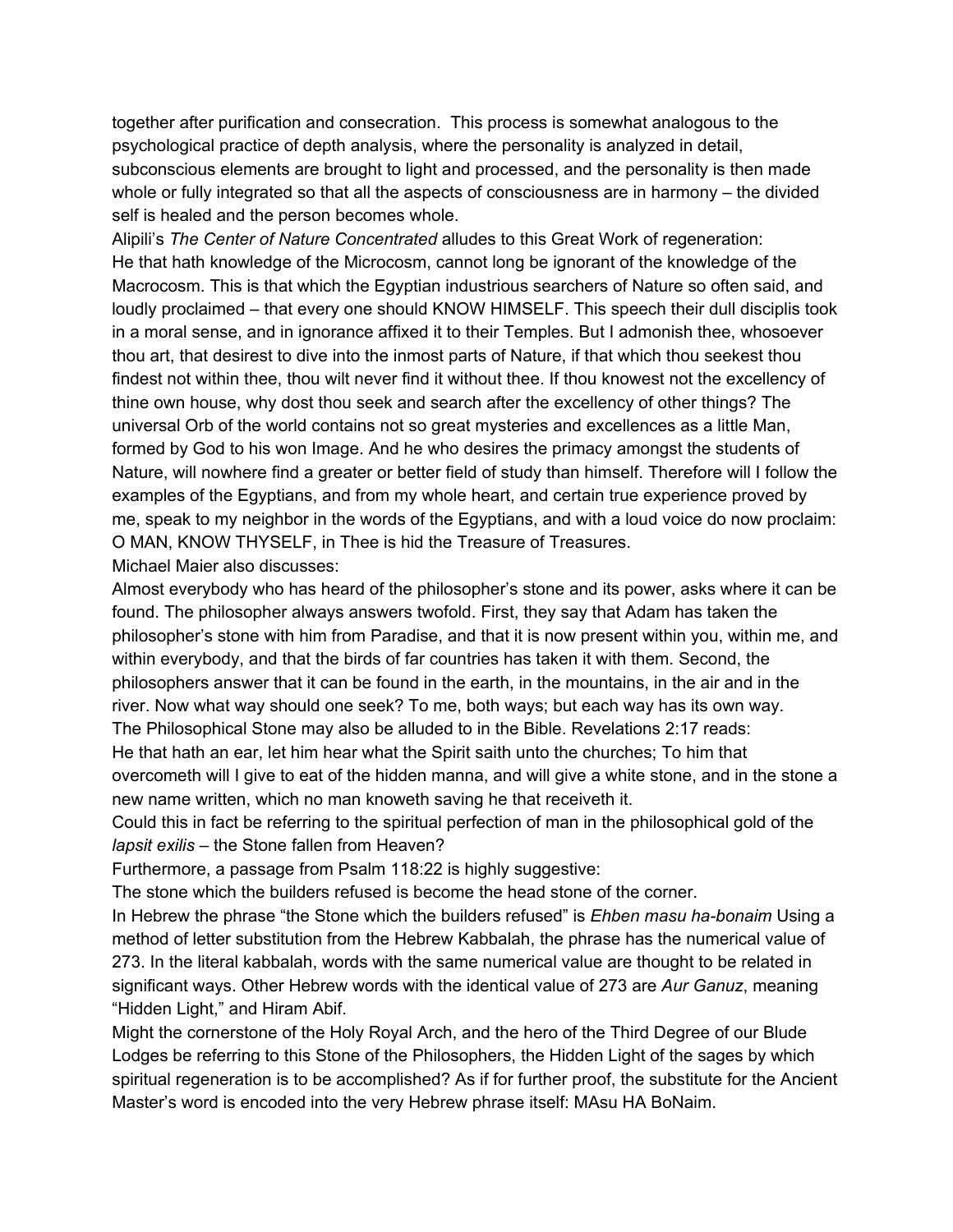together after purification and consecration. This process is somewhat analogous to the psychological practice of depth analysis, where the personality is analyzed in detail, subconscious elements are brought to light and processed, and the personality is then made whole or fully integrated so that all the aspects of consciousness are in harmony – the divided self is healed and the person becomes whole.

Alipili's *The Center of Nature Concentrated* alludes to this Great Work of regeneration: He that hath knowledge of the Microcosm, cannot long be ignorant of the knowledge of the Macrocosm. This is that which the Egyptian industrious searchers of Nature so often said, and loudly proclaimed – that every one should KNOW HIMSELF. This speech their dull disciplis took in a moral sense, and in ignorance affixed it to their Temples. But I admonish thee, whosoever thou art, that desirest to dive into the inmost parts of Nature, if that which thou seekest thou findest not within thee, thou wilt never find it without thee. If thou knowest not the excellency of thine own house, why dost thou seek and search after the excellency of other things? The universal Orb of the world contains not so great mysteries and excellences as a little Man, formed by God to his won Image. And he who desires the primacy amongst the students of Nature, will nowhere find a greater or better field of study than himself. Therefore will I follow the examples of the Egyptians, and from my whole heart, and certain true experience proved by me, speak to my neighbor in the words of the Egyptians, and with a loud voice do now proclaim: O MAN, KNOW THYSELF, in Thee is hid the Treasure of Treasures.

Michael Maier also discusses:

Almost everybody who has heard of the philosopher's stone and its power, asks where it can be found. The philosopher always answers twofold. First, they say that Adam has taken the philosopher's stone with him from Paradise, and that it is now present within you, within me, and within everybody, and that the birds of far countries has taken it with them. Second, the philosophers answer that it can be found in the earth, in the mountains, in the air and in the river. Now what way should one seek? To me, both ways; but each way has its own way. The Philosophical Stone may also be alluded to in the Bible. Revelations 2:17 reads:

He that hath an ear, let him hear what the Spirit saith unto the churches; To him that overcometh will I give to eat of the hidden manna, and will give a white stone, and in the stone a new name written, which no man knoweth saving he that receiveth it.

Could this in fact be referring to the spiritual perfection of man in the philosophical gold of the *lapsit exilis* – the Stone fallen from Heaven?

Furthermore, a passage from Psalm 118:22 is highly suggestive:

The stone which the builders refused is become the head stone of the corner.

In Hebrew the phrase "the Stone which the builders refused" is *Ehben masu ha-bonaim* Using a method of letter substitution from the Hebrew Kabbalah, the phrase has the numerical value of 273. In the literal kabbalah, words with the same numerical value are thought to be related in significant ways. Other Hebrew words with the identical value of 273 are *Aur Ganuz*, meaning "Hidden Light," and Hiram Abif.

Might the cornerstone of the Holy Royal Arch, and the hero of the Third Degree of our Blude Lodges be referring to this Stone of the Philosophers, the Hidden Light of the sages by which spiritual regeneration is to be accomplished? As if for further proof, the substitute for the Ancient Master's word is encoded into the very Hebrew phrase itself: MAsu HA BoNaim.